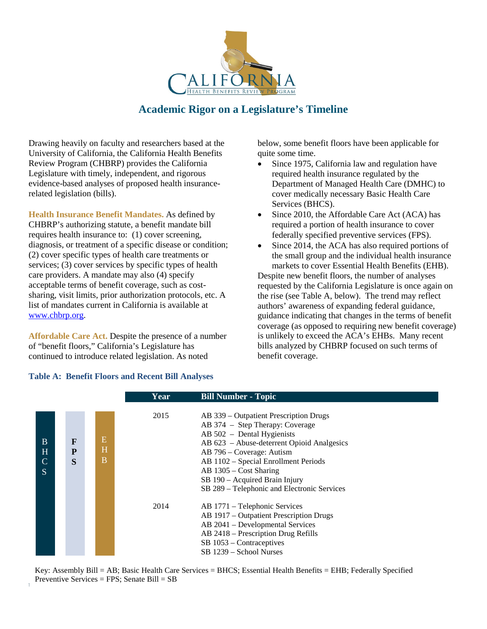

## **Academic Rigor on a Legislature's Timeline**

Drawing heavily on faculty and researchers based at the University of California, the California Health Benefits Review Program (CHBRP) provides the California Legislature with timely, independent, and rigorous evidence-based analyses of proposed health insurancerelated legislation (bills).

**Health Insurance Benefit Mandates.** As defined by CHBRP's authorizing statute, a benefit mandate bill requires health insurance to: (1) cover screening, diagnosis, or treatment of a specific disease or condition; (2) cover specific types of health care treatments or services; (3) cover services by specific types of health care providers. A mandate may also (4) specify acceptable terms of benefit coverage, such as costsharing, visit limits, prior authorization protocols, etc. A list of mandates current in California is available at [www.chbrp.org.](http://www.chbrp.org/)

**Affordable Care Act.** Despite the presence of a number of "benefit floors," California's Legislature has continued to introduce related legislation. As noted

below, some benefit floors have been applicable for quite some time.

- Since 1975, California law and regulation have required health insurance regulated by the Department of Managed Health Care (DMHC) to cover medically necessary Basic Health Care Services (BHCS).
- Since 2010, the Affordable Care Act (ACA) has required a portion of health insurance to cover federally specified preventive services (FPS).
- Since 2014, the ACA has also required portions of the small group and the individual health insurance markets to cover Essential Health Benefits (EHB).

Despite new benefit floors, the number of analyses requested by the California Legislature is once again on the rise (see Table A, below). The trend may reflect authors' awareness of expanding federal guidance, guidance indicating that changes in the terms of benefit coverage (as opposed to requiring new benefit coverage) is unlikely to exceed the ACA's EHBs. Many recent bills analyzed by CHBRP focused on such terms of benefit coverage.

## **Table A: Benefit Floors and Recent Bill Analyses**

|                                |             |             | Year         | <b>Bill Number - Topic</b>                                                                                                                                                                                                                                                                                                                                                                                                                                                                                                                              |
|--------------------------------|-------------|-------------|--------------|---------------------------------------------------------------------------------------------------------------------------------------------------------------------------------------------------------------------------------------------------------------------------------------------------------------------------------------------------------------------------------------------------------------------------------------------------------------------------------------------------------------------------------------------------------|
| B.<br>H<br>$\mathcal{C}$<br>S. | F<br>P<br>S | Ε<br>H<br>B | 2015<br>2014 | AB 339 – Outpatient Prescription Drugs<br>AB 374 - Step Therapy: Coverage<br>$AB 502 - Dental Hygienists$<br>AB 623 - Abuse-deterrent Opioid Analgesics<br>AB 796 – Coverage: Autism<br>AB 1102 - Special Enrollment Periods<br>$AB$ 1305 – Cost Sharing<br>SB 190 - Acquired Brain Injury<br>SB 289 – Telephonic and Electronic Services<br>AB 1771 – Telephonic Services<br>AB 1917 – Outpatient Prescription Drugs<br>AB 2041 – Developmental Services<br>AB 2418 – Prescription Drug Refills<br>SB 1053 - Contraceptives<br>SB 1239 – School Nurses |

**University of California | Office of the President** 1111 Franklin St. Oakland, CA 94607 www.chbrp.org Key: Assembly Bill = AB; Basic Health Care Services = BHCS; Essential Health Benefits = EHB; Federally Specified Preventive Services = FPS; Senate Bill = SB